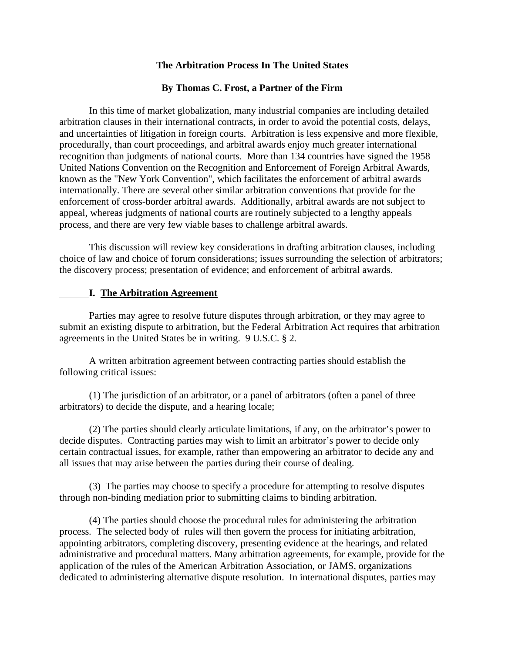### **The Arbitration Process In The United States**

### **By Thomas C. Frost, a Partner of the Firm**

 In this time of market globalization, many industrial companies are including detailed arbitration clauses in their international contracts, in order to avoid the potential costs, delays, and uncertainties of litigation in foreign courts. Arbitration is less expensive and more flexible, procedurally, than court proceedings, and arbitral awards enjoy much greater international recognition than judgments of national courts. More than 134 countries have signed the 1958 United Nations Convention on the Recognition and Enforcement of Foreign Arbitral Awards, known as the "New York Convention", which facilitates the enforcement of arbitral awards internationally. There are several other similar arbitration conventions that provide for the enforcement of cross-border arbitral awards. Additionally, arbitral awards are not subject to appeal, whereas judgments of national courts are routinely subjected to a lengthy appeals process, and there are very few viable bases to challenge arbitral awards.

 This discussion will review key considerations in drafting arbitration clauses, including choice of law and choice of forum considerations; issues surrounding the selection of arbitrators; the discovery process; presentation of evidence; and enforcement of arbitral awards.

#### **I. The Arbitration Agreement**

 Parties may agree to resolve future disputes through arbitration, or they may agree to submit an existing dispute to arbitration, but the Federal Arbitration Act requires that arbitration agreements in the United States be in writing. 9 U.S.C. § 2.

 A written arbitration agreement between contracting parties should establish the following critical issues:

 (1) The jurisdiction of an arbitrator, or a panel of arbitrators (often a panel of three arbitrators) to decide the dispute, and a hearing locale;

 (2) The parties should clearly articulate limitations, if any, on the arbitrator's power to decide disputes. Contracting parties may wish to limit an arbitrator's power to decide only certain contractual issues, for example, rather than empowering an arbitrator to decide any and all issues that may arise between the parties during their course of dealing.

 (3) The parties may choose to specify a procedure for attempting to resolve disputes through non-binding mediation prior to submitting claims to binding arbitration.

 (4) The parties should choose the procedural rules for administering the arbitration process. The selected body of rules will then govern the process for initiating arbitration, appointing arbitrators, completing discovery, presenting evidence at the hearings, and related administrative and procedural matters. Many arbitration agreements, for example, provide for the application of the rules of the American Arbitration Association, or JAMS, organizations dedicated to administering alternative dispute resolution. In international disputes, parties may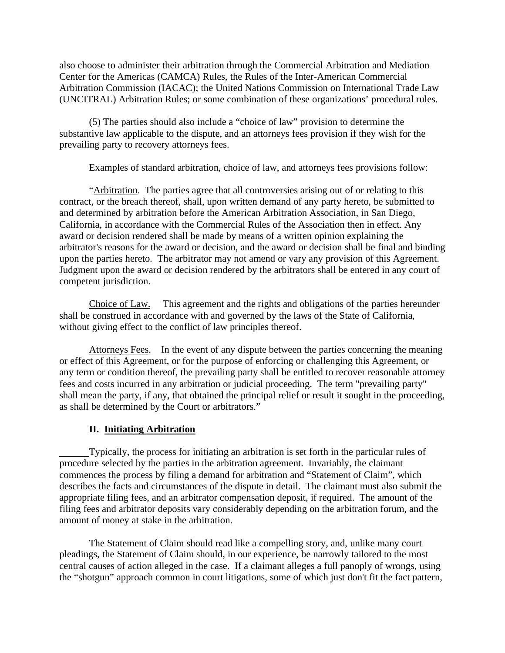also choose to administer their arbitration through the Commercial Arbitration and Mediation Center for the Americas (CAMCA) Rules, the Rules of the Inter-American Commercial Arbitration Commission (IACAC); the United Nations Commission on International Trade Law (UNCITRAL) Arbitration Rules; or some combination of these organizations' procedural rules.

 (5) The parties should also include a "choice of law" provision to determine the substantive law applicable to the dispute, and an attorneys fees provision if they wish for the prevailing party to recovery attorneys fees.

Examples of standard arbitration, choice of law, and attorneys fees provisions follow:

"Arbitration. The parties agree that all controversies arising out of or relating to this contract, or the breach thereof, shall, upon written demand of any party hereto, be submitted to and determined by arbitration before the American Arbitration Association, in San Diego, California, in accordance with the Commercial Rules of the Association then in effect. Any award or decision rendered shall be made by means of a written opinion explaining the arbitrator's reasons for the award or decision, and the award or decision shall be final and binding upon the parties hereto. The arbitrator may not amend or vary any provision of this Agreement. Judgment upon the award or decision rendered by the arbitrators shall be entered in any court of competent jurisdiction.

 Choice of Law.This agreement and the rights and obligations of the parties hereunder shall be construed in accordance with and governed by the laws of the State of California, without giving effect to the conflict of law principles thereof.

 Attorneys Fees. In the event of any dispute between the parties concerning the meaning or effect of this Agreement, or for the purpose of enforcing or challenging this Agreement, or any term or condition thereof, the prevailing party shall be entitled to recover reasonable attorney fees and costs incurred in any arbitration or judicial proceeding. The term "prevailing party" shall mean the party, if any, that obtained the principal relief or result it sought in the proceeding, as shall be determined by the Court or arbitrators."

### **II. Initiating Arbitration**

Typically, the process for initiating an arbitration is set forth in the particular rules of procedure selected by the parties in the arbitration agreement. Invariably, the claimant commences the process by filing a demand for arbitration and "Statement of Claim", which describes the facts and circumstances of the dispute in detail. The claimant must also submit the appropriate filing fees, and an arbitrator compensation deposit, if required. The amount of the filing fees and arbitrator deposits vary considerably depending on the arbitration forum, and the amount of money at stake in the arbitration.

 The Statement of Claim should read like a compelling story, and, unlike many court pleadings, the Statement of Claim should, in our experience, be narrowly tailored to the most central causes of action alleged in the case. If a claimant alleges a full panoply of wrongs, using the "shotgun" approach common in court litigations, some of which just don't fit the fact pattern,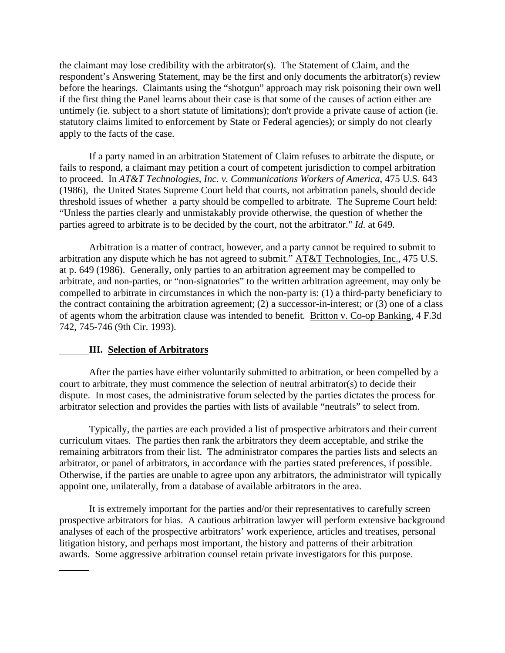the claimant may lose credibility with the arbitrator(s). The Statement of Claim, and the respondent's Answering Statement, may be the first and only documents the arbitrator(s) review before the hearings. Claimants using the "shotgun" approach may risk poisoning their own well if the first thing the Panel learns about their case is that some of the causes of action either are untimely (ie. subject to a short statute of limitations); don't provide a private cause of action (ie. statutory claims limited to enforcement by State or Federal agencies); or simply do not clearly apply to the facts of the case.

 If a party named in an arbitration Statement of Claim refuses to arbitrate the dispute, or fails to respond, a claimant may petition a court of competent jurisdiction to compel arbitration to proceed. In *AT&T Technologies, Inc. v. Communications Workers of America*, 475 U.S. 643 (1986), the United States Supreme Court held that courts, not arbitration panels, should decide threshold issues of whether a party should be compelled to arbitrate. The Supreme Court held: "Unless the parties clearly and unmistakably provide otherwise, the question of whether the parties agreed to arbitrate is to be decided by the court, not the arbitrator." *Id*. at 649.

 Arbitration is a matter of contract, however, and a party cannot be required to submit to arbitration any dispute which he has not agreed to submit." AT&T Technologies, Inc., 475 U.S. at p. 649 (1986). Generally, only parties to an arbitration agreement may be compelled to arbitrate, and non-parties, or "non-signatories" to the written arbitration agreement, may only be compelled to arbitrate in circumstances in which the non-party is: (1) a third-party beneficiary to the contract containing the arbitration agreement; (2) a successor-in-interest; or (3) one of a class of agents whom the arbitration clause was intended to benefit. Britton v. Co-op Banking, 4 F.3d 742, 745-746 (9th Cir. 1993).

#### **III. Selection of Arbitrators**

 After the parties have either voluntarily submitted to arbitration, or been compelled by a court to arbitrate, they must commence the selection of neutral arbitrator(s) to decide their dispute. In most cases, the administrative forum selected by the parties dictates the process for arbitrator selection and provides the parties with lists of available "neutrals" to select from.

 Typically, the parties are each provided a list of prospective arbitrators and their current curriculum vitaes. The parties then rank the arbitrators they deem acceptable, and strike the remaining arbitrators from their list. The administrator compares the parties lists and selects an arbitrator, or panel of arbitrators, in accordance with the parties stated preferences, if possible. Otherwise, if the parties are unable to agree upon any arbitrators, the administrator will typically appoint one, unilaterally, from a database of available arbitrators in the area.

 It is extremely important for the parties and/or their representatives to carefully screen prospective arbitrators for bias. A cautious arbitration lawyer will perform extensive background analyses of each of the prospective arbitrators' work experience, articles and treatises, personal litigation history, and perhaps most important, the history and patterns of their arbitration awards. Some aggressive arbitration counsel retain private investigators for this purpose.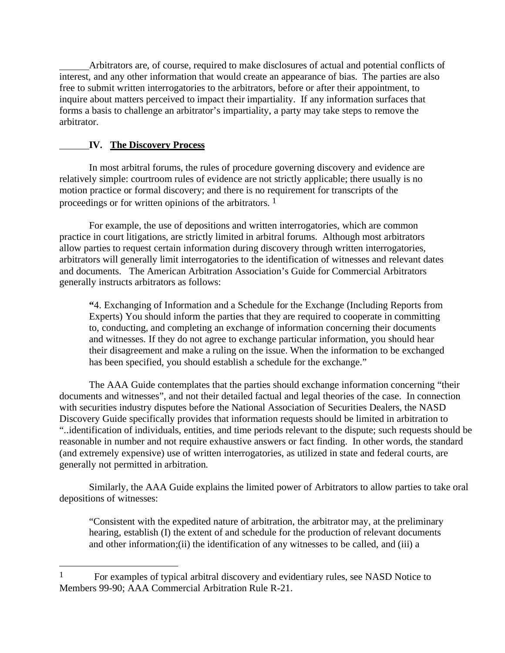Arbitrators are, of course, required to make disclosures of actual and potential conflicts of interest, and any other information that would create an appearance of bias. The parties are also free to submit written interrogatories to the arbitrators, before or after their appointment, to inquire about matters perceived to impact their impartiality. If any information surfaces that forms a basis to challenge an arbitrator's impartiality, a party may take steps to remove the arbitrator.

# **IV. The Discovery Process**

 $\overline{a}$ 

 In most arbitral forums, the rules of procedure governing discovery and evidence are relatively simple: courtroom rules of evidence are not strictly applicable; there usually is no motion practice or formal discovery; and there is no requirement for transcripts of the proceedings or for written opinions of the arbitrators. 1

 For example, the use of depositions and written interrogatories, which are common practice in court litigations, are strictly limited in arbitral forums. Although most arbitrators allow parties to request certain information during discovery through written interrogatories, arbitrators will generally limit interrogatories to the identification of witnesses and relevant dates and documents. The American Arbitration Association's Guide for Commercial Arbitrators generally instructs arbitrators as follows:

**"**4. Exchanging of Information and a Schedule for the Exchange (Including Reports from Experts) You should inform the parties that they are required to cooperate in committing to, conducting, and completing an exchange of information concerning their documents and witnesses. If they do not agree to exchange particular information, you should hear their disagreement and make a ruling on the issue. When the information to be exchanged has been specified, you should establish a schedule for the exchange."

 The AAA Guide contemplates that the parties should exchange information concerning "their documents and witnesses", and not their detailed factual and legal theories of the case. In connection with securities industry disputes before the National Association of Securities Dealers, the NASD Discovery Guide specifically provides that information requests should be limited in arbitration to "..identification of individuals, entities, and time periods relevant to the dispute; such requests should be reasonable in number and not require exhaustive answers or fact finding. In other words, the standard (and extremely expensive) use of written interrogatories, as utilized in state and federal courts, are generally not permitted in arbitration.

 Similarly, the AAA Guide explains the limited power of Arbitrators to allow parties to take oral depositions of witnesses:

"Consistent with the expedited nature of arbitration, the arbitrator may, at the preliminary hearing, establish (I) the extent of and schedule for the production of relevant documents and other information;(ii) the identification of any witnesses to be called, and (iii) a

<sup>&</sup>lt;sup>1</sup> For examples of typical arbitral discovery and evidentiary rules, see NASD Notice to Members 99-90; AAA Commercial Arbitration Rule R-21.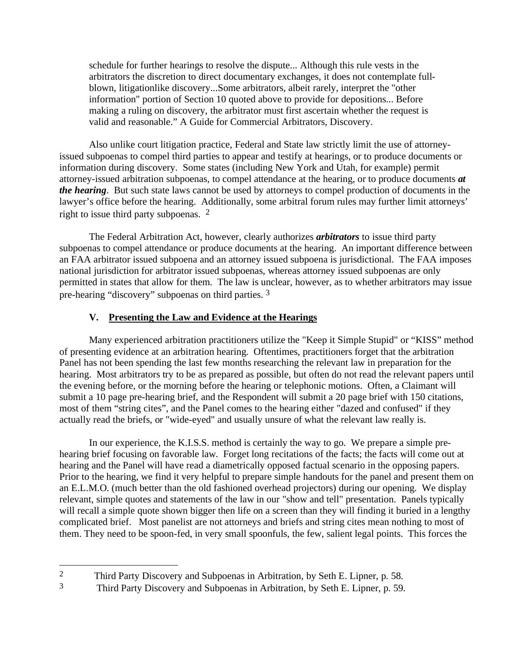schedule for further hearings to resolve the dispute... Although this rule vests in the arbitrators the discretion to direct documentary exchanges, it does not contemplate fullblown, litigationlike discovery...Some arbitrators, albeit rarely, interpret the "other information" portion of Section 10 quoted above to provide for depositions... Before making a ruling on discovery, the arbitrator must first ascertain whether the request is valid and reasonable." A Guide for Commercial Arbitrators, Discovery.

 Also unlike court litigation practice, Federal and State law strictly limit the use of attorneyissued subpoenas to compel third parties to appear and testify at hearings, or to produce documents or information during discovery. Some states (including New York and Utah, for example) permit attorney-issued arbitration subpoenas, to compel attendance at the hearing, or to produce documents *at the hearing*. But such state laws cannot be used by attorneys to compel production of documents in the lawyer's office before the hearing. Additionally, some arbitral forum rules may further limit attorneys' right to issue third party subpoenas. 2

 The Federal Arbitration Act, however, clearly authorizes *arbitrators* to issue third party subpoenas to compel attendance or produce documents at the hearing. An important difference between an FAA arbitrator issued subpoena and an attorney issued subpoena is jurisdictional. The FAA imposes national jurisdiction for arbitrator issued subpoenas, whereas attorney issued subpoenas are only permitted in states that allow for them. The law is unclear, however, as to whether arbitrators may issue pre-hearing "discovery" subpoenas on third parties. 3

# **V. Presenting the Law and Evidence at the Hearings**

 Many experienced arbitration practitioners utilize the "Keep it Simple Stupid" or "KISS" method of presenting evidence at an arbitration hearing. Oftentimes, practitioners forget that the arbitration Panel has not been spending the last few months researching the relevant law in preparation for the hearing. Most arbitrators try to be as prepared as possible, but often do not read the relevant papers until the evening before, or the morning before the hearing or telephonic motions. Often, a Claimant will submit a 10 page pre-hearing brief, and the Respondent will submit a 20 page brief with 150 citations, most of them "string cites", and the Panel comes to the hearing either "dazed and confused" if they actually read the briefs, or "wide-eyed" and usually unsure of what the relevant law really is.

 In our experience, the K.I.S.S. method is certainly the way to go. We prepare a simple prehearing brief focusing on favorable law. Forget long recitations of the facts; the facts will come out at hearing and the Panel will have read a diametrically opposed factual scenario in the opposing papers. Prior to the hearing, we find it very helpful to prepare simple handouts for the panel and present them on an E.L.M.O. (much better than the old fashioned overhead projectors) during our opening. We display relevant, simple quotes and statements of the law in our "show and tell" presentation. Panels typically will recall a simple quote shown bigger then life on a screen than they will finding it buried in a lengthy complicated brief. Most panelist are not attorneys and briefs and string cites mean nothing to most of them. They need to be spoon-fed, in very small spoonfuls, the few, salient legal points. This forces the

 $\overline{a}$ 

<sup>2</sup> Third Party Discovery and Subpoenas in Arbitration, by Seth E. Lipner, p. 58.

<sup>3</sup> Third Party Discovery and Subpoenas in Arbitration, by Seth E. Lipner, p. 59.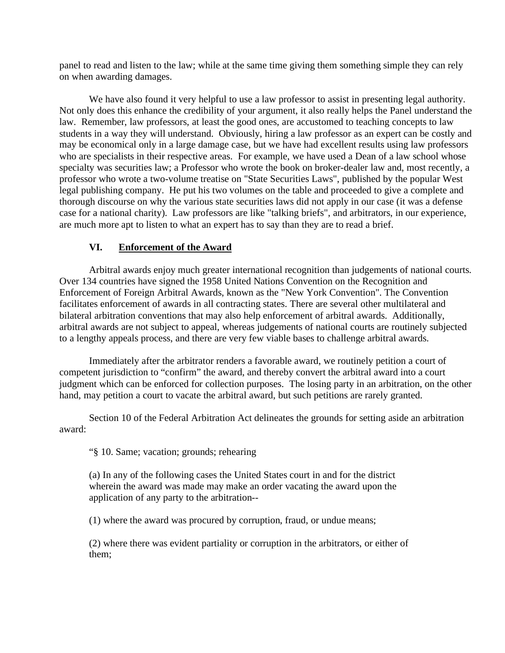panel to read and listen to the law; while at the same time giving them something simple they can rely on when awarding damages.

 We have also found it very helpful to use a law professor to assist in presenting legal authority. Not only does this enhance the credibility of your argument, it also really helps the Panel understand the law. Remember, law professors, at least the good ones, are accustomed to teaching concepts to law students in a way they will understand. Obviously, hiring a law professor as an expert can be costly and may be economical only in a large damage case, but we have had excellent results using law professors who are specialists in their respective areas. For example, we have used a Dean of a law school whose specialty was securities law; a Professor who wrote the book on broker-dealer law and, most recently, a professor who wrote a two-volume treatise on "State Securities Laws", published by the popular West legal publishing company. He put his two volumes on the table and proceeded to give a complete and thorough discourse on why the various state securities laws did not apply in our case (it was a defense case for a national charity). Law professors are like "talking briefs", and arbitrators, in our experience, are much more apt to listen to what an expert has to say than they are to read a brief.

## **VI. Enforcement of the Award**

 Arbitral awards enjoy much greater international recognition than judgements of national courts. Over 134 countries have signed the 1958 United Nations Convention on the Recognition and Enforcement of Foreign Arbitral Awards, known as the "New York Convention". The Convention facilitates enforcement of awards in all contracting states. There are several other multilateral and bilateral arbitration conventions that may also help enforcement of arbitral awards. Additionally, arbitral awards are not subject to appeal, whereas judgements of national courts are routinely subjected to a lengthy appeals process, and there are very few viable bases to challenge arbitral awards.

 Immediately after the arbitrator renders a favorable award, we routinely petition a court of competent jurisdiction to "confirm" the award, and thereby convert the arbitral award into a court judgment which can be enforced for collection purposes. The losing party in an arbitration, on the other hand, may petition a court to vacate the arbitral award, but such petitions are rarely granted.

 Section 10 of the Federal Arbitration Act delineates the grounds for setting aside an arbitration award:

"§ 10. Same; vacation; grounds; rehearing

(a) In any of the following cases the United States court in and for the district wherein the award was made may make an order vacating the award upon the application of any party to the arbitration--

(1) where the award was procured by corruption, fraud, or undue means;

(2) where there was evident partiality or corruption in the arbitrators, or either of them;